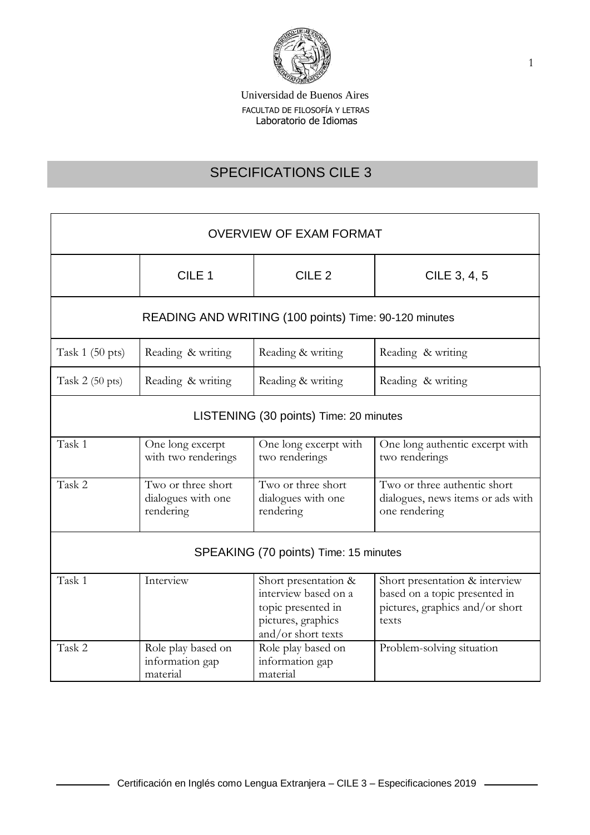

# SPECIFICATIONS CILE 3

| <b>OVERVIEW OF EXAM FORMAT</b>                        |                                                       |                                                                                                                |                                                                                                             |  |
|-------------------------------------------------------|-------------------------------------------------------|----------------------------------------------------------------------------------------------------------------|-------------------------------------------------------------------------------------------------------------|--|
|                                                       | CILE <sub>1</sub>                                     | CILE <sub>2</sub>                                                                                              | CILE 3, 4, 5                                                                                                |  |
| READING AND WRITING (100 points) Time: 90-120 minutes |                                                       |                                                                                                                |                                                                                                             |  |
| Task $1(50 \text{ pts})$                              | Reading & writing                                     | Reading & writing                                                                                              | Reading & writing                                                                                           |  |
| Task $2(50 \text{ pts})$                              | Reading & writing                                     | Reading & writing                                                                                              | Reading & writing                                                                                           |  |
| LISTENING (30 points) Time: 20 minutes                |                                                       |                                                                                                                |                                                                                                             |  |
| Task 1                                                | One long excerpt<br>with two renderings               | One long excerpt with<br>two renderings                                                                        | One long authentic excerpt with<br>two renderings                                                           |  |
| Task 2                                                | Two or three short<br>dialogues with one<br>rendering | Two or three short<br>dialogues with one<br>rendering                                                          | Two or three authentic short<br>dialogues, news items or ads with<br>one rendering                          |  |
| SPEAKING (70 points) Time: 15 minutes                 |                                                       |                                                                                                                |                                                                                                             |  |
| Task 1                                                | Interview                                             | Short presentation &<br>interview based on a<br>topic presented in<br>pictures, graphics<br>and/or short texts | Short presentation & interview<br>based on a topic presented in<br>pictures, graphics and/or short<br>texts |  |
| Task 2                                                | Role play based on<br>information gap<br>material     | Role play based on<br>information gap<br>material                                                              | Problem-solving situation                                                                                   |  |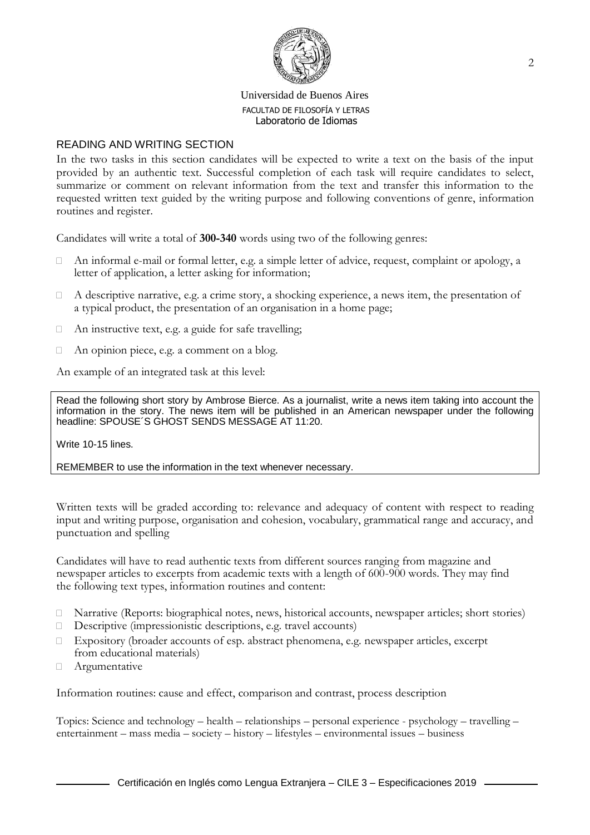

## READING AND WRITING SECTION

In the two tasks in this section candidates will be expected to write a text on the basis of the input provided by an authentic text. Successful completion of each task will require candidates to select, summarize or comment on relevant information from the text and transfer this information to the requested written text guided by the writing purpose and following conventions of genre, information routines and register.

Candidates will write a total of **300-340** words using two of the following genres:

- $\Box$  An informal e-mail or formal letter, e.g. a simple letter of advice, request, complaint or apology, a letter of application, a letter asking for information;
- $\Box$  A descriptive narrative, e.g. a crime story, a shocking experience, a news item, the presentation of a typical product, the presentation of an organisation in a home page;
- $\Box$  An instructive text, e.g. a guide for safe travelling;
- $\Box$  An opinion piece, e.g. a comment on a blog.

An example of an integrated task at this level:

Read the following short story by Ambrose Bierce. As a journalist, write a news item taking into account the information in the story. The news item will be published in an American newspaper under the following headline: SPOUSE´S GHOST SENDS MESSAGE AT 11:20.

Write 10-15 lines.

REMEMBER to use the information in the text whenever necessary.

Written texts will be graded according to: relevance and adequacy of content with respect to reading input and writing purpose, organisation and cohesion, vocabulary, grammatical range and accuracy, and punctuation and spelling

Candidates will have to read authentic texts from different sources ranging from magazine and newspaper articles to excerpts from academic texts with a length of 600-900 words. They may find the following text types, information routines and content:

- Narrative (Reports: biographical notes, news, historical accounts, newspaper articles; short stories)
- Descriptive (impressionistic descriptions, e.g. travel accounts)
- Expository (broader accounts of esp. abstract phenomena, e.g. newspaper articles, excerpt from educational materials)
- Argumentative

Information routines: cause and effect, comparison and contrast, process description

Topics: Science and technology – health – relationships – personal experience - psychology – travelling – entertainment – mass media – society – history – lifestyles – environmental issues – business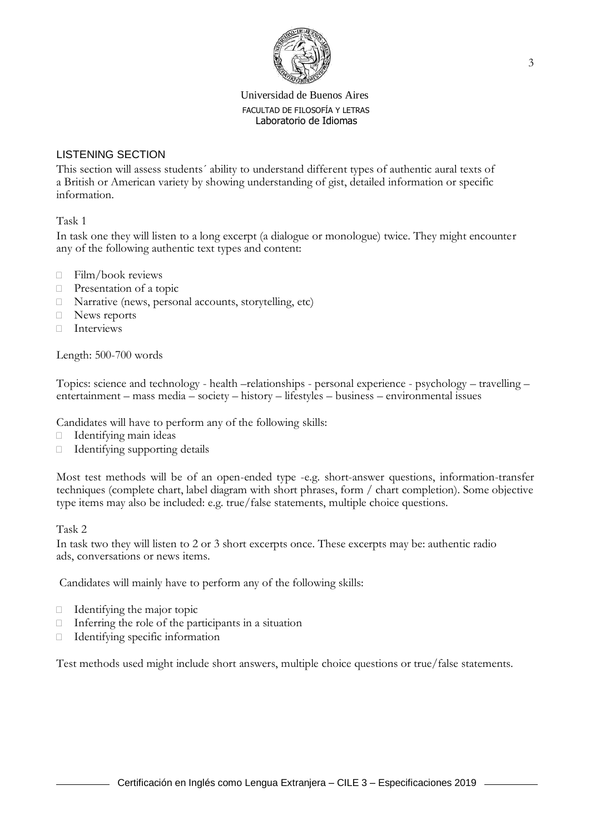

# LISTENING SECTION

This section will assess students´ ability to understand different types of authentic aural texts of a British or American variety by showing understanding of gist, detailed information or specific information.

## Task 1

In task one they will listen to a long excerpt (a dialogue or monologue) twice. They might encounter any of the following authentic text types and content:

- $\Box$  Film/book reviews
- **Presentation of a topic**
- $\Box$  Narrative (news, personal accounts, storytelling, etc)
- □ News reports
- $\Box$  Interviews

Length: 500-700 words

Topics: science and technology - health –relationships - personal experience - psychology – travelling – entertainment – mass media – society – history – lifestyles – business – environmental issues

Candidates will have to perform any of the following skills:

- Identifying main ideas
- Identifying supporting details

Most test methods will be of an open-ended type -e.g. short-answer questions, information-transfer techniques (complete chart, label diagram with short phrases, form / chart completion). Some objective type items may also be included: e.g. true/false statements, multiple choice questions.

Task 2

In task two they will listen to 2 or 3 short excerpts once. These excerpts may be: authentic radio ads, conversations or news items.

Candidates will mainly have to perform any of the following skills:

- $\Box$  Identifying the major topic
- $\Box$  Inferring the role of the participants in a situation
- Identifying specific information

Test methods used might include short answers, multiple choice questions or true/false statements.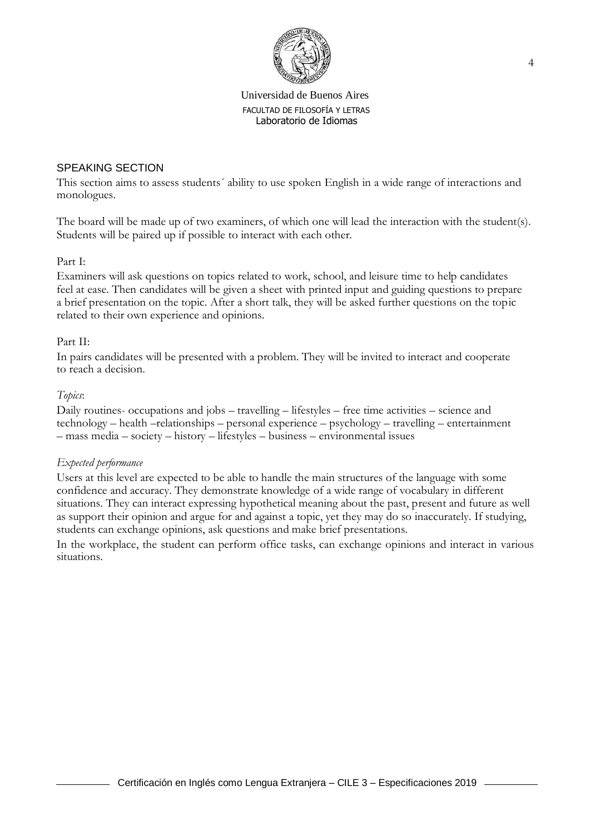

## SPEAKING SECTION

This section aims to assess students´ ability to use spoken English in a wide range of interactions and monologues.

The board will be made up of two examiners, of which one will lead the interaction with the student(s). Students will be paired up if possible to interact with each other.

#### Part I:

Examiners will ask questions on topics related to work, school, and leisure time to help candidates feel at ease. Then candidates will be given a sheet with printed input and guiding questions to prepare a brief presentation on the topic. After a short talk, they will be asked further questions on the topic related to their own experience and opinions.

#### Part II:

In pairs candidates will be presented with a problem. They will be invited to interact and cooperate to reach a decision.

#### *Topics*:

Daily routines- occupations and jobs – travelling – lifestyles – free time activities – science and technology – health –relationships – personal experience – psychology – travelling – entertainment – mass media – society – history – lifestyles – business – environmental issues

#### *Expected performance*

Users at this level are expected to be able to handle the main structures of the language with some confidence and accuracy. They demonstrate knowledge of a wide range of vocabulary in different situations. They can interact expressing hypothetical meaning about the past, present and future as well as support their opinion and argue for and against a topic, yet they may do so inaccurately. If studying, students can exchange opinions, ask questions and make brief presentations.

In the workplace, the student can perform office tasks, can exchange opinions and interact in various situations.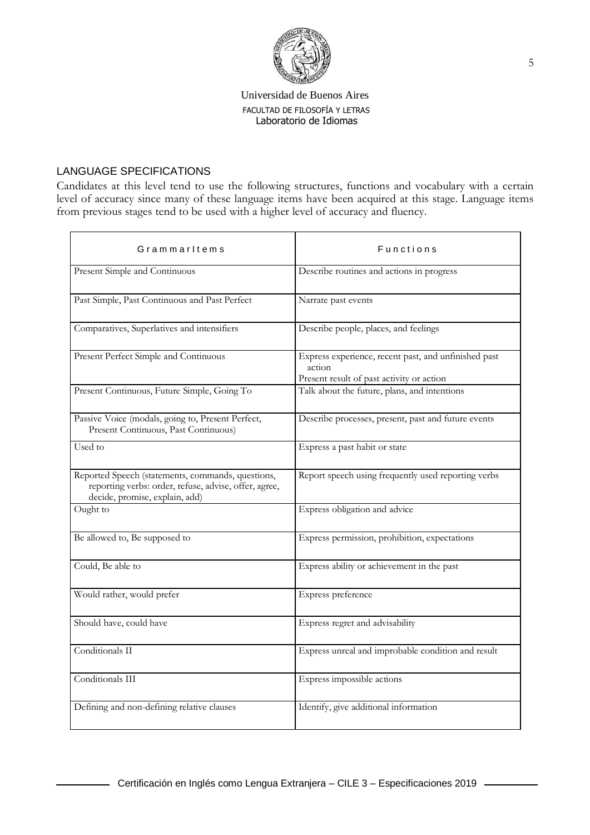

# LANGUAGE SPECIFICATIONS

Candidates at this level tend to use the following structures, functions and vocabulary with a certain level of accuracy since many of these language items have been acquired at this stage. Language items from previous stages tend to be used with a higher level of accuracy and fluency.

| Grammarltems                                                                                                                                 | <b>Functions</b>                                                                                            |  |
|----------------------------------------------------------------------------------------------------------------------------------------------|-------------------------------------------------------------------------------------------------------------|--|
| Present Simple and Continuous                                                                                                                | Describe routines and actions in progress                                                                   |  |
| Past Simple, Past Continuous and Past Perfect                                                                                                | Narrate past events                                                                                         |  |
| Comparatives, Superlatives and intensifiers                                                                                                  | Describe people, places, and feelings                                                                       |  |
| Present Perfect Simple and Continuous                                                                                                        | Express experience, recent past, and unfinished past<br>action<br>Present result of past activity or action |  |
| Present Continuous, Future Simple, Going To                                                                                                  | Talk about the future, plans, and intentions                                                                |  |
| Passive Voice (modals, going to, Present Perfect,<br>Present Continuous, Past Continuous)                                                    | Describe processes, present, past and future events                                                         |  |
| Used to                                                                                                                                      | Express a past habit or state                                                                               |  |
| Reported Speech (statements, commands, questions,<br>reporting verbs: order, refuse, advise, offer, agree,<br>decide, promise, explain, add) | Report speech using frequently used reporting verbs                                                         |  |
| Ought to                                                                                                                                     | Express obligation and advice                                                                               |  |
| Be allowed to, Be supposed to                                                                                                                | Express permission, prohibition, expectations                                                               |  |
| Could, Be able to                                                                                                                            | Express ability or achievement in the past                                                                  |  |
| Would rather, would prefer                                                                                                                   | Express preference                                                                                          |  |
| Should have, could have                                                                                                                      | Express regret and advisability                                                                             |  |
| Conditionals II                                                                                                                              | Express unreal and improbable condition and result                                                          |  |
| Conditionals III                                                                                                                             | Express impossible actions                                                                                  |  |
| Defining and non-defining relative clauses                                                                                                   | Identify, give additional information                                                                       |  |